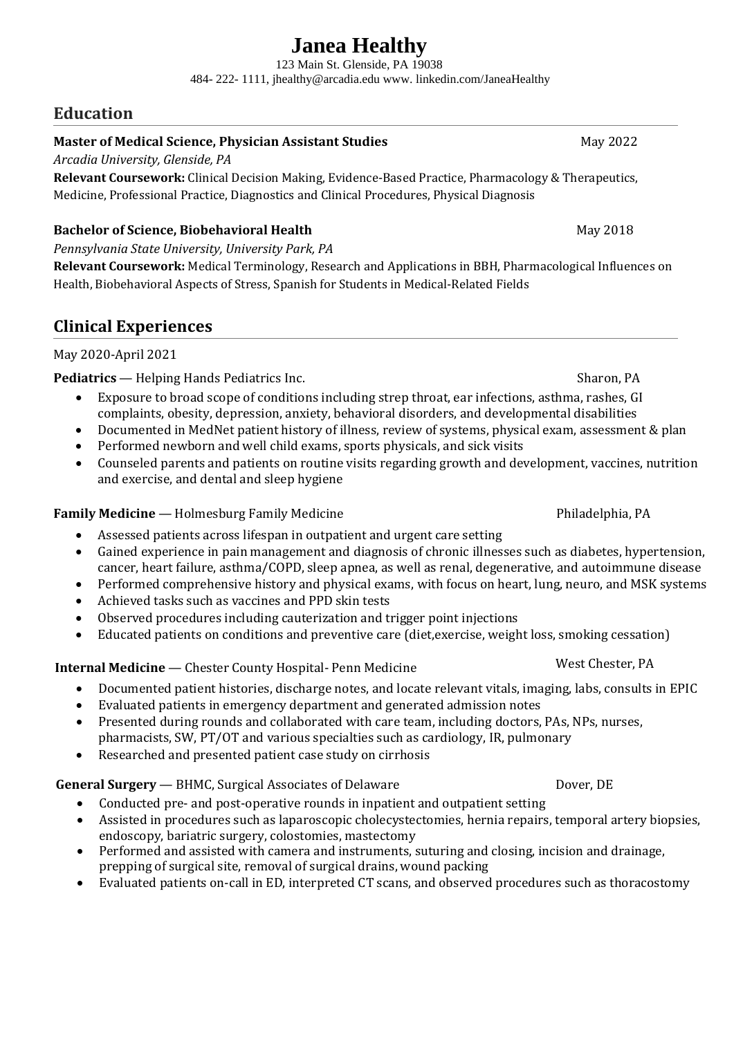# **Janea Healthy**

123 Main St. Glenside, PA 19038 484- 222- 1111, jhealthy@arcadia.edu www. linkedin.com/JaneaHealthy

# **Education**

## **Master of Medical Science, Physician Assistant Studies** Max 2022

*Arcadia University, Glenside, PA*

**Relevant Coursework:** Clinical Decision Making, Evidence-Based Practice, Pharmacology & Therapeutics, Medicine, Professional Practice, Diagnostics and Clinical Procedures, Physical Diagnosis

## **Bachelor of Science, Biobehavioral Health** May 2018

*Pennsylvania State University, University Park, PA*

**Relevant Coursework:** Medical Terminology, Research and Applications in BBH, Pharmacological Influences on Health, Biobehavioral Aspects of Stress, Spanish for Students in Medical-Related Fields

# **Clinical Experiences**

## May 2020-April 2021

**Pediatrics** — Helping Hands Pediatrics Inc. Sharon, PA

- Exposure to broad scope of conditions including strep throat, ear infections, asthma, rashes, GI complaints, obesity, depression, anxiety, behavioral disorders, and developmental disabilities
- Documented in MedNet patient history of illness, review of systems, physical exam, assessment & plan
- Performed newborn and well child exams, sports physicals, and sick visits
- Counseled parents and patients on routine visits regarding growth and development, vaccines, nutrition and exercise, and dental and sleep hygiene

## **Family Medicine** — Holmesburg Family Medicine **Philadelphia, PA** Philadelphia, PA

- Assessed patients across lifespan in outpatient and urgent care setting
- Gained experience in pain management and diagnosis of chronic illnesses such as diabetes, hypertension, cancer, heart failure, asthma/COPD, sleep apnea, as well as renal, degenerative, and autoimmune disease
- Performed comprehensive history and physical exams, with focus on heart, lung, neuro, and MSK systems
- Achieved tasks such as vaccines and PPD skin tests
- Observed procedures including cauterization and trigger point injections
- Educated patients on conditions and preventive care (diet,exercise, weight loss, smoking cessation)

# **Internal Medicine** — Chester County Hospital- Penn Medicine West Chester, PA

- Documented patient histories, discharge notes, and locate relevant vitals, imaging, labs, consults in EPIC
- Evaluated patients in emergency department and generated admission notes
- Presented during rounds and collaborated with care team, including doctors, PAs, NPs, nurses, pharmacists, SW, PT/OT and various specialties such as cardiology, IR, pulmonary
- Researched and presented patient case study on cirrhosis

## **General Surgery** — BHMC, Surgical Associates of Delaware **Discussed Dover, DE**

- Conducted pre- and post-operative rounds in inpatient and outpatient setting
- Assisted in procedures such as laparoscopic cholecystectomies, hernia repairs, temporal artery biopsies, endoscopy, bariatric surgery, colostomies, mastectomy
- Performed and assisted with camera and instruments, suturing and closing, incision and drainage, prepping of surgical site, removal of surgical drains, wound packing
- Evaluated patients on-call in ED, interpreted CT scans, and observed procedures such as thoracostomy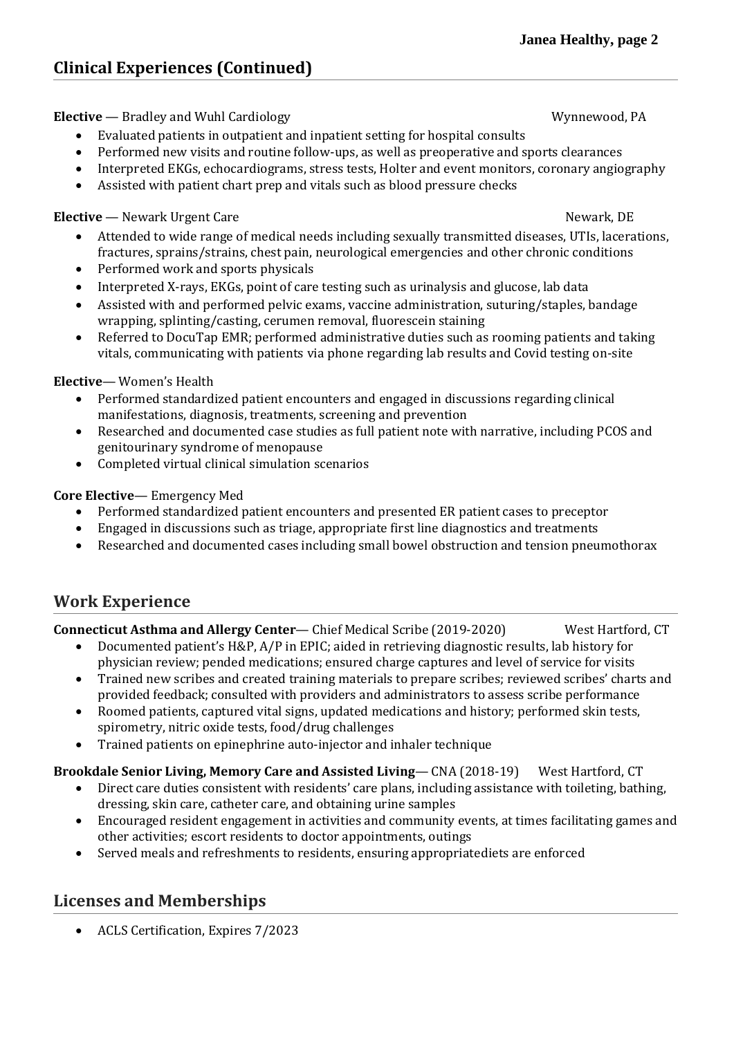# **Clinical Experiences (Continued)**

**Elective** — Bradley and Wuhl Cardiology New York 2008 2012 Mynnewood, PA

- Evaluated patients in outpatient and inpatient setting for hospital consults
- Performed new visits and routine follow-ups, as well as preoperative and sports clearances
- Interpreted EKGs, echocardiograms, stress tests, Holter and event monitors, coronary angiography
- Assisted with patient chart prep and vitals such as blood pressure checks

## **Elective** — Newark Urgent Care Newark, DE

- Attended to wide range of medical needs including sexually transmitted diseases, UTIs, lacerations, fractures, sprains/strains, chest pain, neurological emergencies and other chronic conditions
- Performed work and sports physicals
- Interpreted X-rays, EKGs, point of care testing such as urinalysis and glucose, lab data
- Assisted with and performed pelvic exams, vaccine administration, suturing/staples, bandage wrapping, splinting/casting, cerumen removal, fluorescein staining
- Referred to DocuTap EMR; performed administrative duties such as rooming patients and taking vitals, communicating with patients via phone regarding lab results and Covid testing on-site

## **Elective**— Women's Health

- Performed standardized patient encounters and engaged in discussions regarding clinical manifestations, diagnosis, treatments, screening and prevention
- Researched and documented case studies as full patient note with narrative, including PCOS and genitourinary syndrome of menopause
- Completed virtual clinical simulation scenarios

## **Core Elective**— Emergency Med

- Performed standardized patient encounters and presented ER patient cases to preceptor
- Engaged in discussions such as triage, appropriate first line diagnostics and treatments
- Researched and documented cases including small bowel obstruction and tension pneumothorax

# **Work Experience**

## **Connecticut Asthma and Allergy Center**— Chief Medical Scribe (2019-2020) West Hartford, CT

- Documented patient's H&P, A/P in EPIC; aided in retrieving diagnostic results, lab history for physician review; pended medications; ensured charge captures and level of service for visits
- Trained new scribes and created training materials to prepare scribes; reviewed scribes' charts and provided feedback; consulted with providers and administrators to assess scribe performance
- Roomed patients, captured vital signs, updated medications and history; performed skin tests, spirometry, nitric oxide tests, food/drug challenges
- Trained patients on epinephrine auto-injector and inhaler technique

## **Brookdale Senior Living, Memory Care and Assisted Living**— CNA (2018-19) West Hartford, CT

- Direct care duties consistent with residents' care plans, including assistance with toileting, bathing, dressing, skin care, catheter care, and obtaining urine samples
- Encouraged resident engagement in activities and community events, at times facilitating games and other activities; escort residents to doctor appointments, outings
- Served meals and refreshments to residents, ensuring appropriatediets are enforced

# **Licenses and Memberships**

ACLS Certification, Expires 7/2023